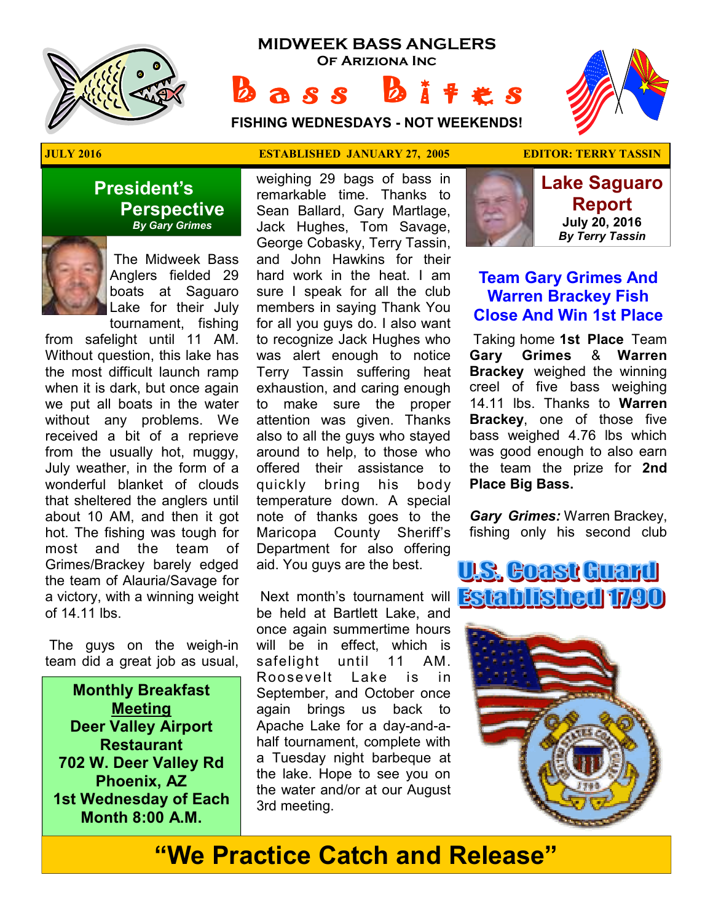

# **MIDWEEK BASS ANGLERS Of Ariziona Inc**

**a** s s

 ★ ★ ★ ★ ★ ★ ★  $\mathbb{R}$  ★ ★ ★

**FISHING WEDNESDAYS - NOT WEEKENDS!**

### **President's Perspective**   *By Gary Grimes*



 The Midweek Bass Anglers fielded 29 boats at Saguaro Lake for their July tournament, fishing

from safelight until 11 AM. Without question, this lake has the most difficult launch ramp when it is dark, but once again we put all boats in the water without any problems. We received a bit of a reprieve from the usually hot, muggy, July weather, in the form of a wonderful blanket of clouds that sheltered the anglers until about 10 AM, and then it got hot. The fishing was tough for most and the team of Grimes/Brackey barely edged the team of Alauria/Savage for a victory, with a winning weight of 14.11 lbs.

 The guys on the weigh-in team did a great job as usual,

**Monthly Breakfast Meeting Deer Valley Airport Restaurant 702 W. Deer Valley Rd Phoenix, AZ 1st Wednesday of Each Month 8:00 A.M.** 

#### **JULY 2016 ESTABLISHED JANUARY 27, 2005 EDITOR: TERRY TASSIN**

weighing 29 bags of bass in remarkable time. Thanks to Sean Ballard, Gary Martlage, Jack Hughes, Tom Savage, George Cobasky, Terry Tassin, and John Hawkins for their hard work in the heat. I am sure I speak for all the club members in saying Thank You for all you guys do. I also want to recognize Jack Hughes who was alert enough to notice Terry Tassin suffering heat exhaustion, and caring enough to make sure the proper attention was given. Thanks also to all the guys who stayed around to help, to those who offered their assistance to quickly bring his body temperature down. A special note of thanks goes to the Maricopa County Sheriff's Department for also offering aid. You guys are the best.

be held at Bartlett Lake, and once again summertime hours will be in effect, which is safelight until 11 AM. Roosevelt Lake is in September, and October once again brings us back to Apache Lake for a day-and-ahalf tournament, complete with a Tuesday night barbeque at the lake. Hope to see you on the water and/or at our August 3rd meeting.



**Lake Saguaro Report July 20, 2016**  *By Terry Tassin* 

### **Team Gary Grimes And Warren Brackey Fish Close And Win 1st Place**

 Taking home **1st Place** Team **Gary Grimes** & **Warren Brackey** weighed the winning creel of five bass weighing 14.11 lbs. Thanks to **Warren Brackey**, one of those five bass weighed 4.76 lbs which was good enough to also earn the team the prize for **2nd Place Big Bass.** 

*Gary Grimes:* Warren Brackey, fishing only his second club





# **"We Practice Catch and Release"**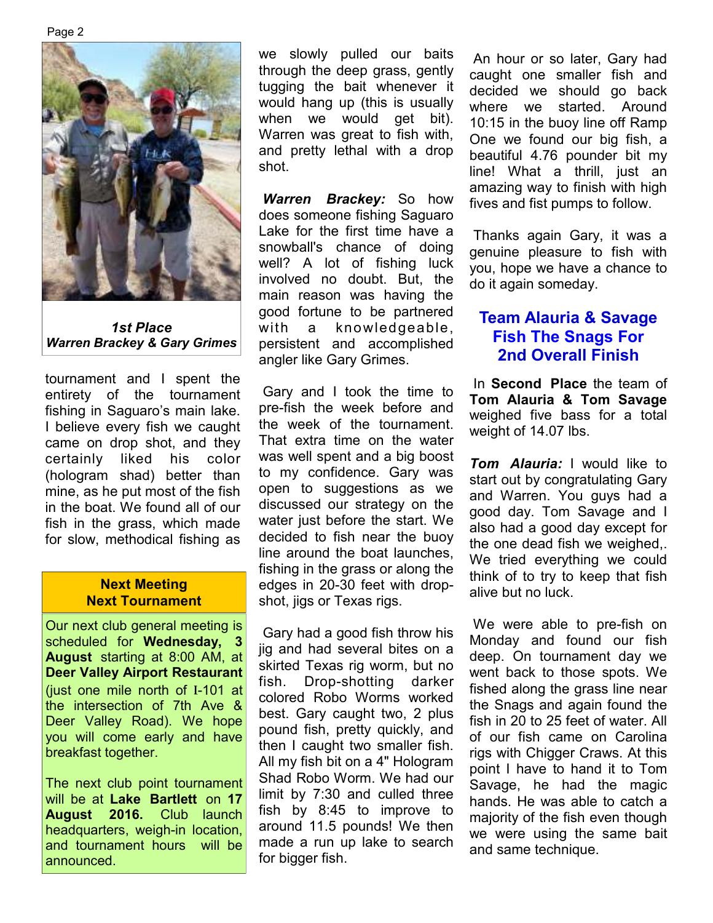

*1st Place Warren Brackey & Gary Grimes* 

tournament and I spent the entirety of the tournament fishing in Saguaro's main lake. I believe every fish we caught came on drop shot, and they certainly liked his color (hologram shad) better than mine, as he put most of the fish in the boat. We found all of our fish in the grass, which made for slow, methodical fishing as

#### **Next Meeting Next Tournament**

Our next club general meeting is scheduled for **Wednesday, 3 August** starting at 8:00 AM, at **Deer Valley Airport Restaurant**  (just one mile north of I-101 at the intersection of 7th Ave & Deer Valley Road). We hope you will come early and have breakfast together.

The next club point tournament will be at **Lake Bartlett** on **17 August 2016.** Club launch headquarters, weigh-in location, and tournament hours will be announced.

we slowly pulled our baits through the deep grass, gently tugging the bait whenever it would hang up (this is usually when we would get bit). Warren was great to fish with, and pretty lethal with a drop shot.

*Warren Brackey:* So how does someone fishing Saguaro Lake for the first time have a snowball's chance of doing well? A lot of fishing luck involved no doubt. But, the main reason was having the good fortune to be partnered with a knowledgeable, persistent and accomplished angler like Gary Grimes.

 Gary and I took the time to pre-fish the week before and the week of the tournament. That extra time on the water was well spent and a big boost to my confidence. Gary was open to suggestions as we discussed our strategy on the water just before the start. We decided to fish near the buoy line around the boat launches, fishing in the grass or along the edges in 20-30 feet with dropshot, jigs or Texas rigs.

 Gary had a good fish throw his jig and had several bites on a skirted Texas rig worm, but no fish. Drop-shotting darker colored Robo Worms worked best. Gary caught two, 2 plus pound fish, pretty quickly, and then I caught two smaller fish. All my fish bit on a 4" Hologram Shad Robo Worm. We had our limit by 7:30 and culled three fish by 8:45 to improve to around 11.5 pounds! We then made a run up lake to search for bigger fish.

 An hour or so later, Gary had caught one smaller fish and decided we should go back where we started. Around 10:15 in the buoy line off Ramp One we found our big fish, a beautiful 4.76 pounder bit my line! What a thrill, just an amazing way to finish with high fives and fist pumps to follow.

 Thanks again Gary, it was a genuine pleasure to fish with you, hope we have a chance to do it again someday.

## **Team Alauria & Savage Fish The Snags For 2nd Overall Finish**

 In **Second Place** the team of **Tom Alauria & Tom Savage**  weighed five bass for a total weight of 14.07 lbs.

*Tom Alauria:* I would like to start out by congratulating Gary and Warren. You guys had a good day. Tom Savage and I also had a good day except for the one dead fish we weighed,. We tried everything we could think of to try to keep that fish alive but no luck.

 We were able to pre-fish on Monday and found our fish deep. On tournament day we went back to those spots. We fished along the grass line near the Snags and again found the fish in 20 to 25 feet of water. All of our fish came on Carolina rigs with Chigger Craws. At this point I have to hand it to Tom Savage, he had the magic hands. He was able to catch a majority of the fish even though we were using the same bait and same technique.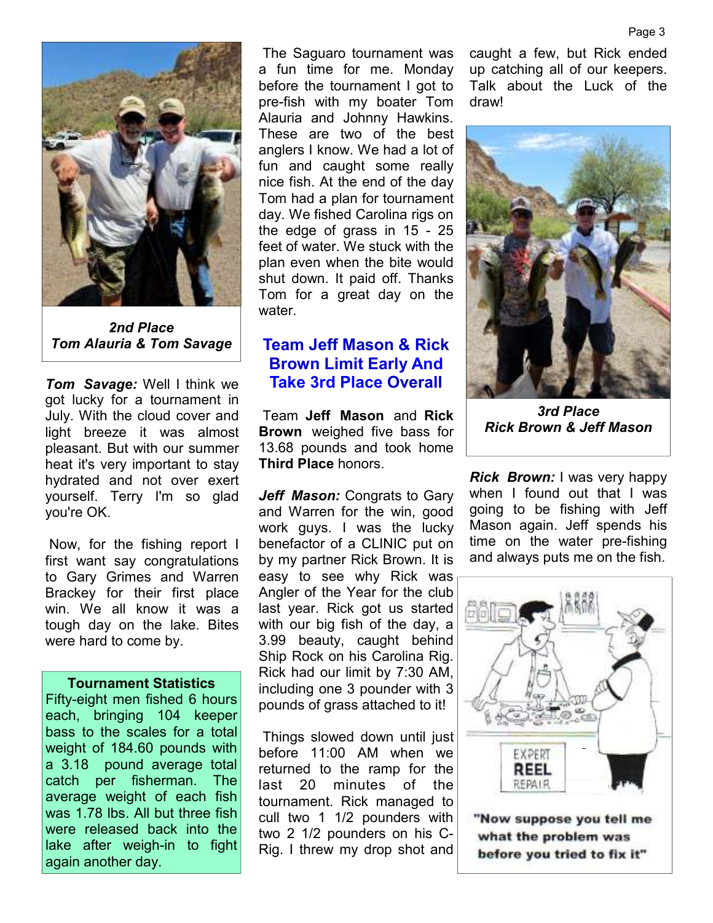

*2nd Place Tom Alauria & Tom Savage* 

*Tom Savage:* Well I think we got lucky for a tournament in July. With the cloud cover and light breeze it was almost pleasant. But with our summer heat it's very important to stay hydrated and not over exert yourself. Terry I'm so glad you're OK.

 Now, for the fishing report I first want say congratulations to Gary Grimes and Warren Brackey for their first place win. We all know it was a tough day on the lake. Bites were hard to come by.

#### **Tournament Statistics**

Fifty-eight men fished 6 hours each, bringing 104 keeper bass to the scales for a total weight of 184.60 pounds with a 3.18 pound average total catch per fisherman. The average weight of each fish was 1.78 lbs. All but three fish were released back into the lake after weigh-in to fight again another day.

 The Saguaro tournament was a fun time for me. Monday before the tournament I got to pre-fish with my boater Tom Alauria and Johnny Hawkins. These are two of the best anglers I know. We had a lot of fun and caught some really nice fish. At the end of the day Tom had a plan for tournament day. We fished Carolina rigs on the edge of grass in 15 - 25 feet of water. We stuck with the plan even when the bite would shut down. It paid off. Thanks Tom for a great day on the water.

### **Team Jeff Mason & Rick Brown Limit Early And Take 3rd Place Overall**

 Team **Jeff Mason** and **Rick Brown** weighed five bass for 13.68 pounds and took home **Third Place** honors.

*Jeff Mason:* Congrats to Gary and Warren for the win, good work guys. I was the lucky benefactor of a CLINIC put on by my partner Rick Brown. It is easy to see why Rick was Angler of the Year for the club last year. Rick got us started with our big fish of the day, a 3.99 beauty, caught behind Ship Rock on his Carolina Rig. Rick had our limit by 7:30 AM, including one 3 pounder with 3 pounds of grass attached to it!

 Things slowed down until just before 11:00 AM when we returned to the ramp for the last 20 minutes of the tournament. Rick managed to cull two 1 1/2 pounders with two 2 1/2 pounders on his C-Rig. I threw my drop shot and

caught a few, but Rick ended up catching all of our keepers. Talk about the Luck of the draw!



*3rd Place Rick Brown & Jeff Mason* 

*Rick Brown:* I was very happy when I found out that I was going to be fishing with Jeff Mason again. Jeff spends his time on the water pre-fishing and always puts me on the fish.



"Now suppose you tell me what the problem was before you tried to fix it"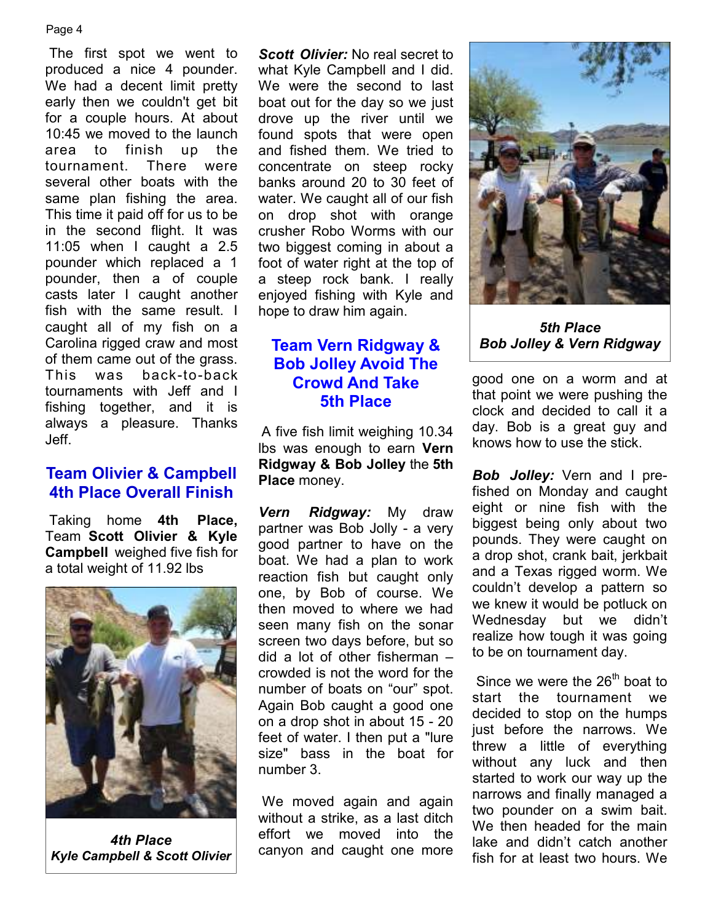#### Page 4

 The first spot we went to produced a nice 4 pounder. We had a decent limit pretty early then we couldn't get bit for a couple hours. At about 10:45 we moved to the launch area to finish up the tournament. There were several other boats with the same plan fishing the area. This time it paid off for us to be in the second flight. It was 11:05 when I caught a 2.5 pounder which replaced a 1 pounder, then a of couple casts later I caught another fish with the same result. I caught all of my fish on a Carolina rigged craw and most of them came out of the grass. This was back-to-back tournaments with Jeff and I fishing together, and it is always a pleasure. Thanks Jeff.

### **Team Olivier & Campbell 4th Place Overall Finish**

 Taking home **4th Place,**  Team **Scott Olivier & Kyle Campbell** weighed five fish for a total weight of 11.92 lbs



*4th Place Kyle Campbell & Scott Olivier* 

*Scott Olivier:* No real secret to what Kyle Campbell and I did. We were the second to last boat out for the day so we just drove up the river until we found spots that were open and fished them. We tried to concentrate on steep rocky banks around 20 to 30 feet of water. We caught all of our fish on drop shot with orange crusher Robo Worms with our two biggest coming in about a foot of water right at the top of a steep rock bank. I really enjoyed fishing with Kyle and hope to draw him again.

# **Team Vern Ridgway & Bob Jolley Avoid The Crowd And Take 5th Place**

A five fish limit weighing 10.34 lbs was enough to earn **Vern Ridgway & Bob Jolley** the **5th Place** money.

*Vern Ridgway:* My draw partner was Bob Jolly - a very good partner to have on the boat. We had a plan to work reaction fish but caught only one, by Bob of course. We then moved to where we had seen many fish on the sonar screen two days before, but so did a lot of other fisherman – crowded is not the word for the number of boats on "our" spot. Again Bob caught a good one on a drop shot in about 15 - 20 feet of water. I then put a "lure size" bass in the boat for number 3.

 We moved again and again without a strike, as a last ditch effort we moved into the canyon and caught one more



*5th Place Bob Jolley & Vern Ridgway* 

good one on a worm and at that point we were pushing the clock and decided to call it a day. Bob is a great guy and knows how to use the stick.

*Bob Jolley:* Vern and I prefished on Monday and caught eight or nine fish with the biggest being only about two pounds. They were caught on a drop shot, crank bait, jerkbait and a Texas rigged worm. We couldn't develop a pattern so we knew it would be potluck on Wednesday but we didn't realize how tough it was going to be on tournament day.

Since we were the  $26<sup>th</sup>$  boat to start the tournament we decided to stop on the humps just before the narrows. We threw a little of everything without any luck and then started to work our way up the narrows and finally managed a two pounder on a swim bait. We then headed for the main lake and didn't catch another fish for at least two hours. We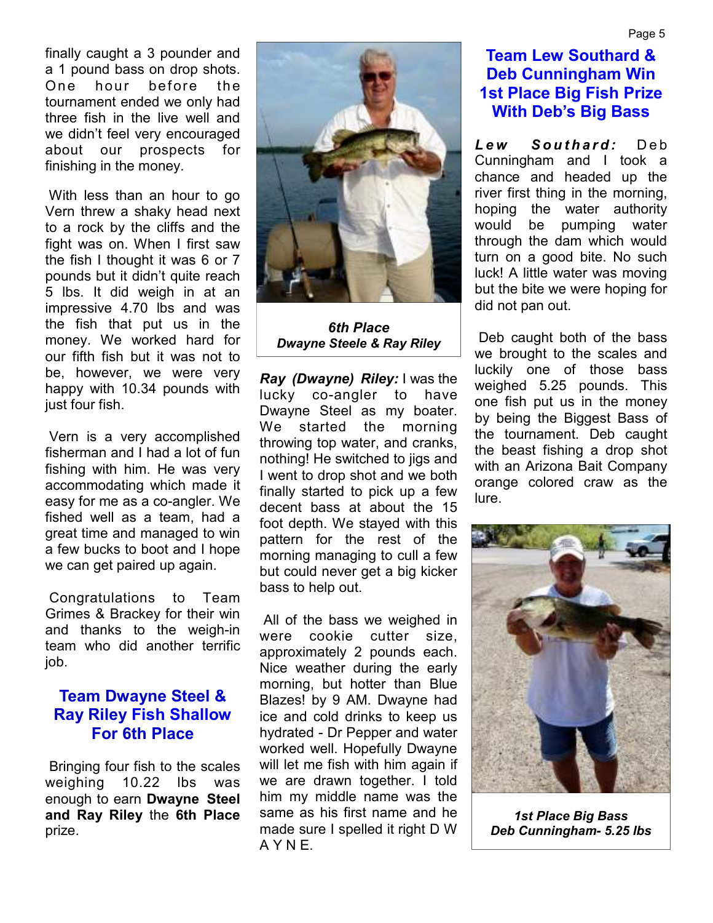finally caught a 3 pounder and a 1 pound bass on drop shots. One hour before the tournament ended we only had three fish in the live well and we didn't feel very encouraged about our prospects for finishing in the money.

 With less than an hour to go Vern threw a shaky head next to a rock by the cliffs and the fight was on. When I first saw the fish I thought it was 6 or 7 pounds but it didn't quite reach 5 lbs. It did weigh in at an impressive 4.70 lbs and was the fish that put us in the money. We worked hard for our fifth fish but it was not to be, however, we were very happy with 10.34 pounds with just four fish.

 Vern is a very accomplished fisherman and I had a lot of fun fishing with him. He was very accommodating which made it easy for me as a co-angler. We fished well as a team, had a great time and managed to win a few bucks to boot and I hope we can get paired up again.

 Congratulations to Team Grimes & Brackey for their win and thanks to the weigh-in team who did another terrific job.

### **Team Dwayne Steel & Ray Riley Fish Shallow For 6th Place**

 Bringing four fish to the scales weighing 10.22 lbs was enough to earn **Dwayne Steel and Ray Riley** the **6th Place**  prize.



*6th Place Dwayne Steele & Ray Riley*

*Ray (Dwayne) Riley:* I was the lucky co-angler to have Dwayne Steel as my boater. We started the morning throwing top water, and cranks, nothing! He switched to jigs and I went to drop shot and we both finally started to pick up a few decent bass at about the 15 foot depth. We stayed with this pattern for the rest of the morning managing to cull a few but could never get a big kicker bass to help out.

 All of the bass we weighed in were cookie cutter size, approximately 2 pounds each. Nice weather during the early morning, but hotter than Blue Blazes! by 9 AM. Dwayne had ice and cold drinks to keep us hydrated - Dr Pepper and water worked well. Hopefully Dwayne will let me fish with him again if we are drawn together. I told him my middle name was the same as his first name and he made sure I spelled it right D W A Y N E.

# **Team Lew Southard & Deb Cunningham Win 1st Place Big Fish Prize With Deb's Big Bass**

**Lew Southard:** Deb Cunningham and I took a chance and headed up the river first thing in the morning, hoping the water authority would be pumping water through the dam which would turn on a good bite. No such luck! A little water was moving but the bite we were hoping for did not pan out.

 Deb caught both of the bass we brought to the scales and luckily one of those bass weighed 5.25 pounds. This one fish put us in the money by being the Biggest Bass of the tournament. Deb caught the beast fishing a drop shot with an Arizona Bait Company orange colored craw as the lure.



*1st Place Big Bass Deb Cunningham- 5.25 lbs*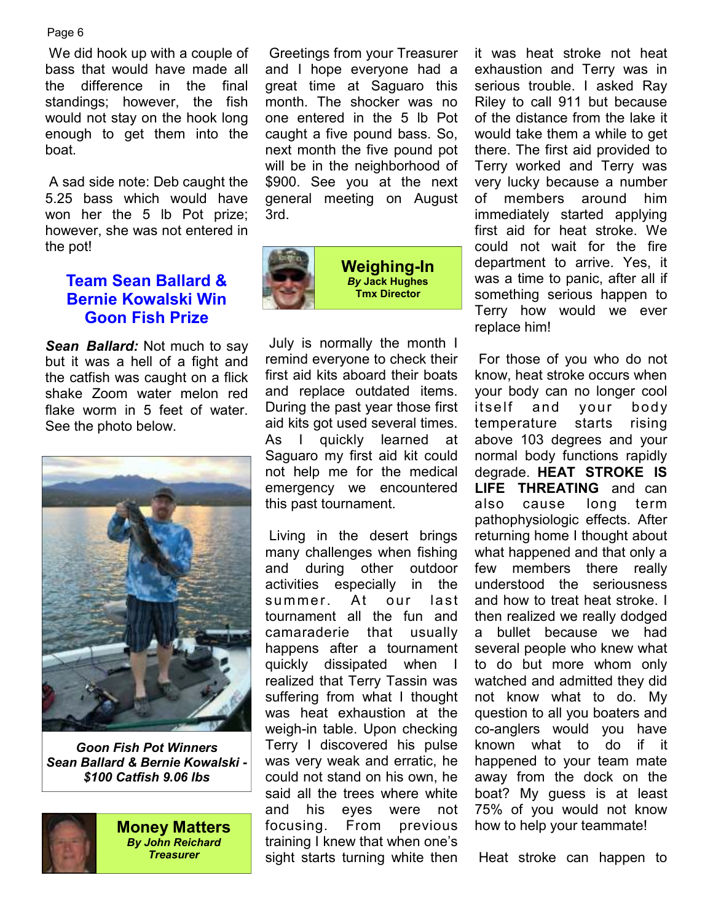#### Page 6

 We did hook up with a couple of bass that would have made all the difference in the final standings; however, the fish would not stay on the hook long enough to get them into the boat.

 A sad side note: Deb caught the 5.25 bass which would have won her the 5 lb Pot prize; however, she was not entered in the pot!

# **Team Sean Ballard & Bernie Kowalski Win Goon Fish Prize**

*Sean Ballard:* Not much to say but it was a hell of a fight and the catfish was caught on a flick shake Zoom water melon red flake worm in 5 feet of water. See the photo below.



*Goon Fish Pot Winners Sean Ballard & Bernie Kowalski - \$100 Catfish 9.06 lbs*



**Money Matters**  *By John Reichard Treasurer* 

 Greetings from your Treasurer and I hope everyone had a great time at Saguaro this month. The shocker was no one entered in the 5 lb Pot caught a five pound bass. So, next month the five pound pot will be in the neighborhood of \$900. See you at the next general meeting on August 3rd.



 July is normally the month I remind everyone to check their first aid kits aboard their boats and replace outdated items. During the past year those first aid kits got used several times. As I quickly learned at Saguaro my first aid kit could not help me for the medical emergency we encountered this past tournament.

 Living in the desert brings many challenges when fishing and during other outdoor activities especially in the summer. At our last tournament all the fun and camaraderie that usually happens after a tournament quickly dissipated when I realized that Terry Tassin was suffering from what I thought was heat exhaustion at the weigh-in table. Upon checking Terry I discovered his pulse was very weak and erratic, he could not stand on his own, he said all the trees where white and his eyes were not focusing. From previous training I knew that when one's sight starts turning white then it was heat stroke not heat exhaustion and Terry was in serious trouble. I asked Ray Riley to call 911 but because of the distance from the lake it would take them a while to get there. The first aid provided to Terry worked and Terry was very lucky because a number of members around him immediately started applying first aid for heat stroke. We could not wait for the fire department to arrive. Yes, it was a time to panic, after all if something serious happen to Terry how would we ever replace him!

 For those of you who do not know, heat stroke occurs when your body can no longer cool itself and your body temperature starts rising above 103 degrees and your normal body functions rapidly degrade. **HEAT STROKE IS LIFE THREATING** and can also cause long term pathophysiologic effects. After returning home I thought about what happened and that only a few members there really understood the seriousness and how to treat heat stroke. I then realized we really dodged a bullet because we had several people who knew what to do but more whom only watched and admitted they did not know what to do. My question to all you boaters and co-anglers would you have known what to do if it happened to your team mate away from the dock on the boat? My guess is at least 75% of you would not know how to help your teammate!

Heat stroke can happen to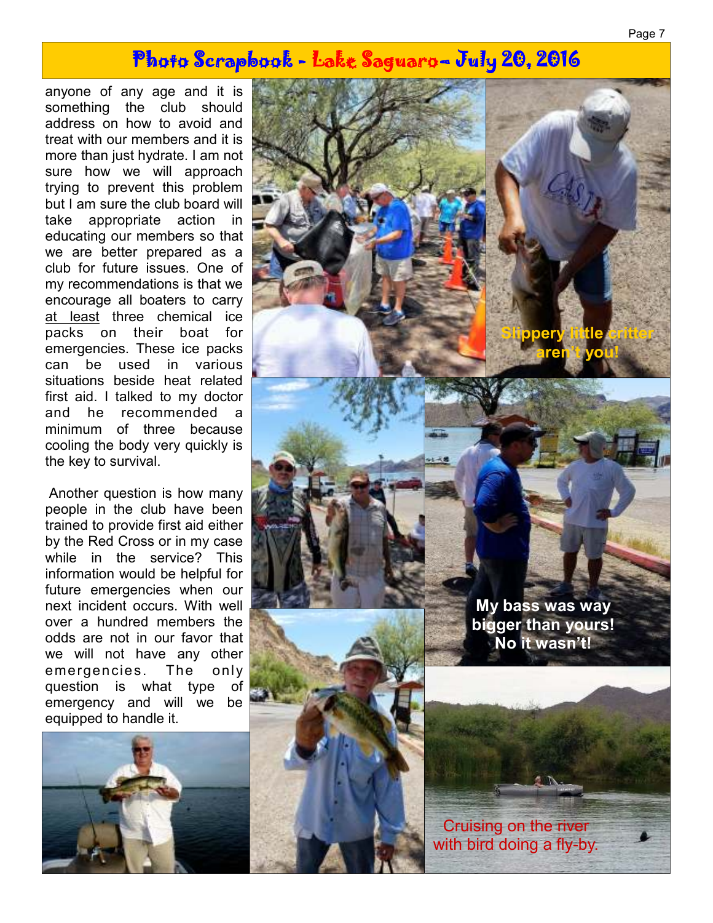# Photo Scrapbook - Lake Saguaro– July 20, 2016

anyone of any age and it is something the club should address on how to avoid and treat with our members and it is more than just hydrate. I am not sure how we will approach trying to prevent this problem but I am sure the club board will take appropriate action in educating our members so that we are better prepared as a club for future issues. One of my recommendations is that we encourage all boaters to carry at least three chemical ice packs on their boat for emergencies. These ice packs can be used in various situations beside heat related first aid. I talked to my doctor and he recommended a minimum of three because cooling the body very quickly is the key to survival.

 Another question is how many people in the club have been trained to provide first aid either by the Red Cross or in my case while in the service? This information would be helpful for future emergencies when our next incident occurs. With well over a hundred members the odds are not in our favor that we will not have any other emergencies. The only question is what type of emergency and will we be equipped to handle it.